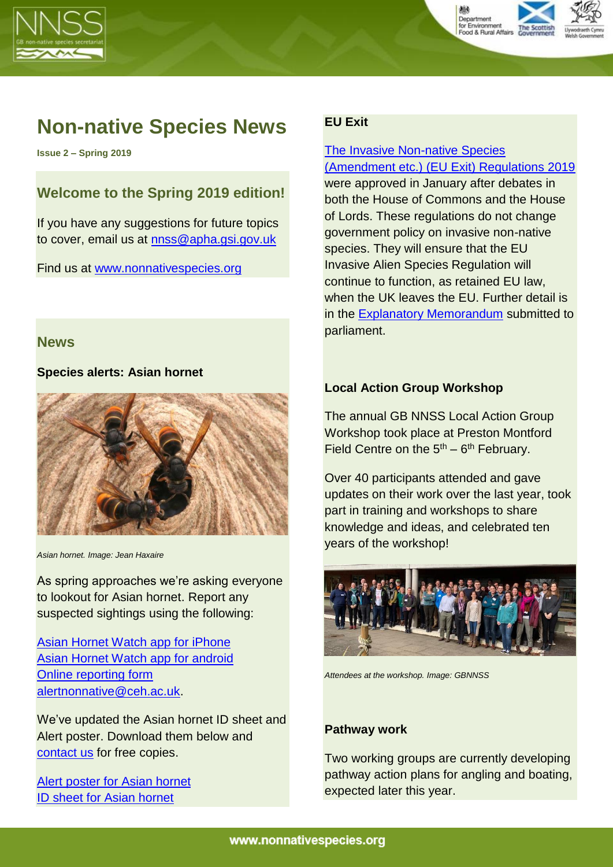



# **Non-native Species News**

**Issue 2 – Spring 2019**

## **Welcome to the Spring 2019 edition!**

If you have any suggestions for future topics to cover, email us at [nnss@apha.gsi.gov.uk](mailto:nnss@apha.gsi.gov.uk)

Find us at [www.nonnativespecies.org](http://www.nonnativespecies.org/) 

#### **News**

#### **Species alerts: Asian hornet**



*Asian hornet. Image: Jean Haxaire*

As spring approaches we're asking everyone to lookout for Asian hornet. Report any suspected sightings using the following:

[Asian Hornet Watch app for iPhone](https://itunes.apple.com/gb/app/asian-hornet-watch/id1161238813?mt=8) [Asian Hornet Watch app for android](https://play.google.com/store/apps/details?id=uk.ac.ceh.hornets) [Online reporting form](http://www.brc.ac.uk/risc/alert.php?species=asian_hornet) [alertnonnative@ceh.ac.uk.](mailto:alertnonnative@ceh.ac.uk)

We've updated the Asian hornet ID sheet and Alert poster. Download them below and [contact us](mailto:nnss@apha.gov.uk) for free copies.

[Alert poster for](https://secure.fera.defra.gov.uk/nonnativespecies/downloadDocument.cfm?id=872) Asian hornet ID [sheet for Asian hornet](https://secure.fera.defra.gov.uk/nonnativespecies/downloadDocument.cfm?id=646)

## **EU Exit**

#### [The Invasive Non-native Species](https://www.legislation.gov.uk/uksi/2019/223/contents/made)  [\(Amendment etc.\) \(EU Exit\) Regulations 2019](https://www.legislation.gov.uk/uksi/2019/223/contents/made)

were approved in January after debates in both the House of Commons and the House of Lords. These regulations do not change government policy on invasive non-native species. They will ensure that the EU Invasive Alien Species Regulation will continue to function, as retained EU law, when the UK leaves the EU. Further detail is in the [Explanatory Memorandum](https://www.legislation.gov.uk/uksi/2019/223/pdfs/uksiem_20190223_en.pdf) submitted to parliament.

### **Local Action Group Workshop**

The annual GB NNSS Local Action Group Workshop took place at Preston Montford Field Centre on the  $5<sup>th</sup> - 6<sup>th</sup>$  February.

Over 40 participants attended and gave updates on their work over the last year, took part in training and workshops to share knowledge and ideas, and celebrated ten years of the workshop!



*Attendees at the workshop. Image: GBNNSS*

#### **Pathway work**

Two working groups are currently developing pathway action plans for angling and boating, expected later this year.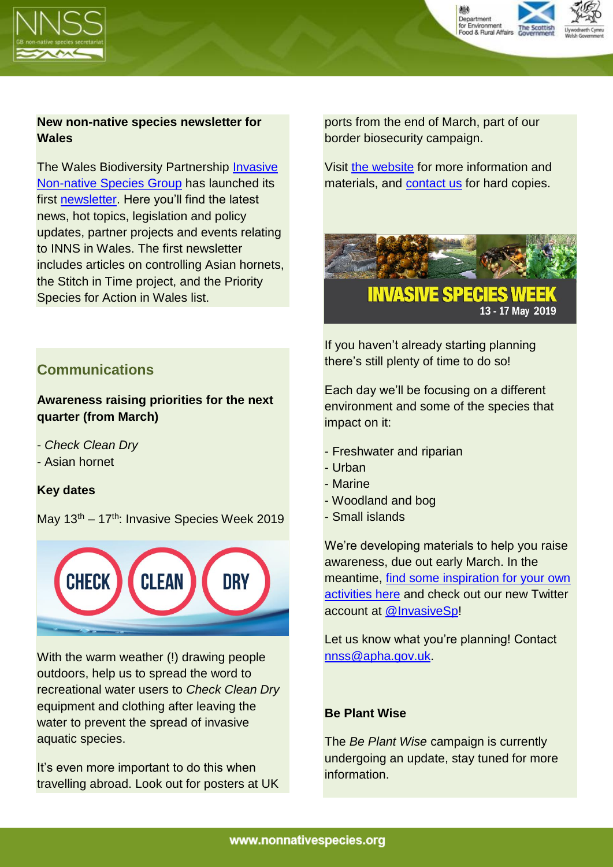



## **New non-native species newsletter for Wales**

The Wales Biodiversity Partnership [Invasive](https://www.biodiversitywales.org.uk/Invasive-Non-Native-Species-Group)  [Non-native Species Group](https://www.biodiversitywales.org.uk/Invasive-Non-Native-Species-Group) has launched its first [newsletter.](https://www.biodiversitywales.org.uk/Content/Upload/Wales%20Invasive%20Non-native%20Species%20Group%20Newsletter%201.pdf) Here you'll find the latest news, hot topics, legislation and policy updates, partner projects and events relating to INNS in Wales. The first newsletter includes articles on controlling Asian hornets, the Stitch in Time project, and the Priority Species for Action in Wales list.

**Communications** 

## **Awareness raising priorities for the next quarter (from March)**

- *Check Clean Dry*
- Asian hornet

## **Key dates**

May  $13<sup>th</sup> - 17<sup>th</sup>$ : Invasive Species Week 2019



With the warm weather (!) drawing people outdoors, help us to spread the word to recreational water users to *Check Clean Dry* equipment and clothing after leaving the water to prevent the spread of invasive aquatic species.

It's even more important to do this when travelling abroad. Look out for posters at UK ports from the end of March, part of our border biosecurity campaign.

Visit [the website](http://www.nonnativespecies.org/checkcleandry) for more information and materials, and [contact us](mailto:nnss@apha.gsi.gov.uk) for hard copies.



If you haven't already starting planning there's still plenty of time to do so!

Each day we'll be focusing on a different environment and some of the species that impact on it:

- Freshwater and riparian
- Urban
- Marine
- Woodland and bog
- Small islands

We're developing materials to help you raise awareness, due out early March. In the meantime, [find some inspiration](https://secure.fera.defra.gov.uk/nonnativespecies/downloadDocument.cfm?id=1933) for your own [activities](https://secure.fera.defra.gov.uk/nonnativespecies/downloadDocument.cfm?id=1933) here and check out our new Twitter account at [@InvasiveSp!](https://twitter.com/InvasiveSp)

Let us know what you're planning! Contact [nnss@apha.gov.uk.](mailto:nnss@apha.gov.uk)

#### **Be Plant Wise**

The *Be Plant Wise* campaign is currently undergoing an update, stay tuned for more information.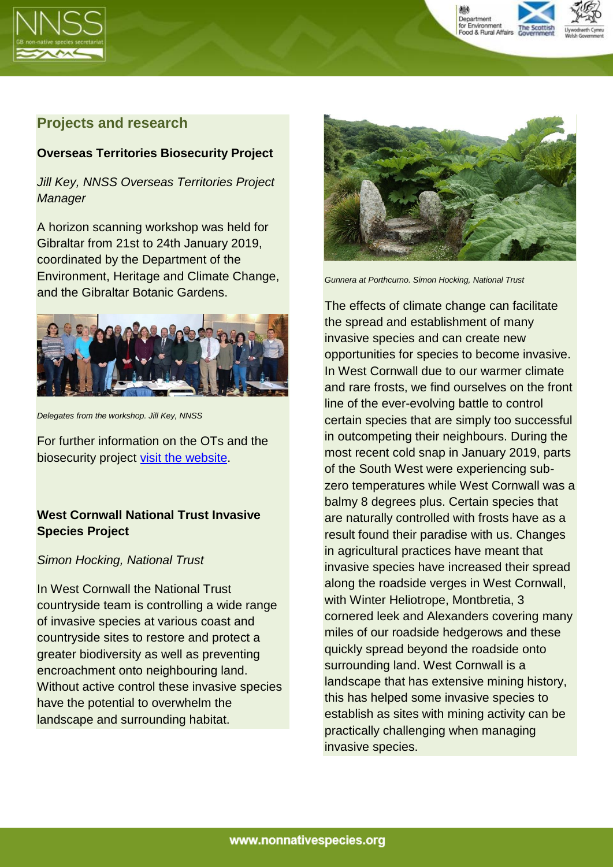



## **Projects and research**

#### **Overseas Territories Biosecurity Project**

*Jill Key, NNSS Overseas Territories Project Manager*

A horizon scanning workshop was held for Gibraltar from 21st to 24th January 2019, coordinated by the Department of the Environment, Heritage and Climate Change, and the Gibraltar Botanic Gardens.



*Delegates from the workshop. Jill Key, NNSS*

For further information on the OTs and the biosecurity project [visit the website.](http://www.nonnativespecies.org/index.cfm?sectionid=8)

## **West Cornwall National Trust Invasive Species Project**

#### *Simon Hocking, National Trust*

In West Cornwall the National Trust countryside team is controlling a wide range of invasive species at various coast and countryside sites to restore and protect a greater biodiversity as well as preventing encroachment onto neighbouring land. Without active control these invasive species have the potential to overwhelm the landscape and surrounding habitat.



*Gunnera at Porthcurno. Simon Hocking, National Trust*

The effects of climate change can facilitate the spread and establishment of many invasive species and can create new opportunities for species to become invasive. In West Cornwall due to our warmer climate and rare frosts, we find ourselves on the front line of the ever-evolving battle to control certain species that are simply too successful in outcompeting their neighbours. During the most recent cold snap in January 2019, parts of the South West were experiencing subzero temperatures while West Cornwall was a balmy 8 degrees plus. Certain species that are naturally controlled with frosts have as a result found their paradise with us. Changes in agricultural practices have meant that invasive species have increased their spread along the roadside verges in West Cornwall, with Winter Heliotrope, Montbretia, 3 cornered leek and Alexanders covering many miles of our roadside hedgerows and these quickly spread beyond the roadside onto surrounding land. West Cornwall is a landscape that has extensive mining history, this has helped some invasive species to establish as sites with mining activity can be practically challenging when managing invasive species.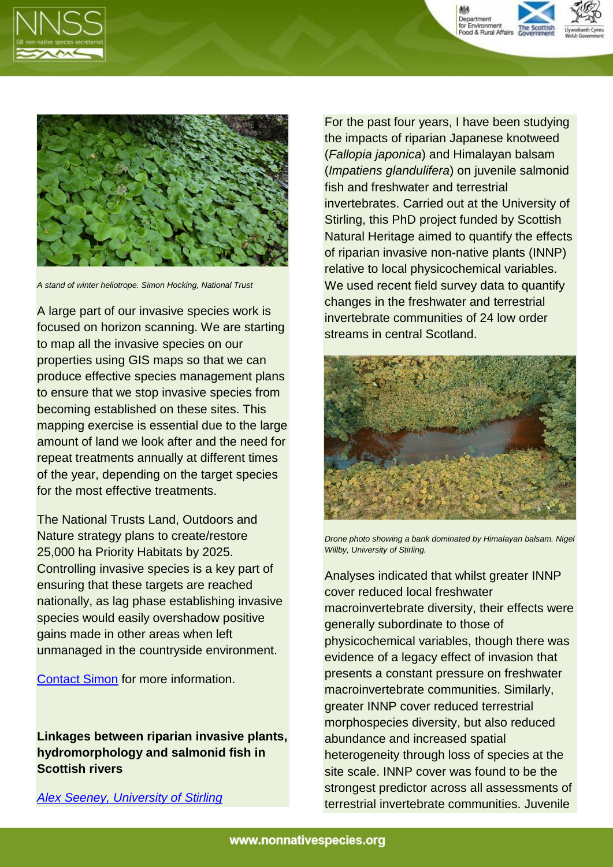





*A stand of winter heliotrope. Simon Hocking, National Trust* 

A large part of our invasive species work is focused on horizon scanning. We are starting to map all the invasive species on our properties using GIS maps so that we can produce effective species management plans to ensure that we stop invasive species from becoming established on these sites. This mapping exercise is essential due to the large amount of land we look after and the need for repeat treatments annually at different times of the year, depending on the target species for the most effective treatments.

The National Trusts Land, Outdoors and Nature strategy plans to create/restore 25,000 ha Priority Habitats by 2025. Controlling invasive species is a key part of ensuring that these targets are reached nationally, as lag phase establishing invasive species would easily overshadow positive gains made in other areas when left unmanaged in the countryside environment.

[Contact Simon](mailto:simon.hocking@nationaltrust.org.uk) for more information.

**Linkages between riparian invasive plants, hydromorphology and salmonid fish in Scottish rivers**

*[Alex Seeney, University of Stirling](mailto:alex.seeney@stir.ac.uk)*

For the past four years, I have been studying the impacts of riparian Japanese knotweed (*Fallopia japonica*) and Himalayan balsam (*Impatiens glandulifera*) on juvenile salmonid fish and freshwater and terrestrial invertebrates. Carried out at the University of Stirling, this PhD project funded by Scottish Natural Heritage aimed to quantify the effects of riparian invasive non-native plants (INNP) relative to local physicochemical variables. We used recent field survey data to quantify changes in the freshwater and terrestrial invertebrate communities of 24 low order streams in central Scotland.



*Drone photo showing a bank dominated by Himalayan balsam. Nigel Willby, University of Stirling.*

Analyses indicated that whilst greater INNP cover reduced local freshwater macroinvertebrate diversity, their effects were generally subordinate to those of physicochemical variables, though there was evidence of a legacy effect of invasion that presents a constant pressure on freshwater macroinvertebrate communities. Similarly, greater INNP cover reduced terrestrial morphospecies diversity, but also reduced abundance and increased spatial heterogeneity through loss of species at the site scale. INNP cover was found to be the strongest predictor across all assessments of terrestrial invertebrate communities. Juvenile